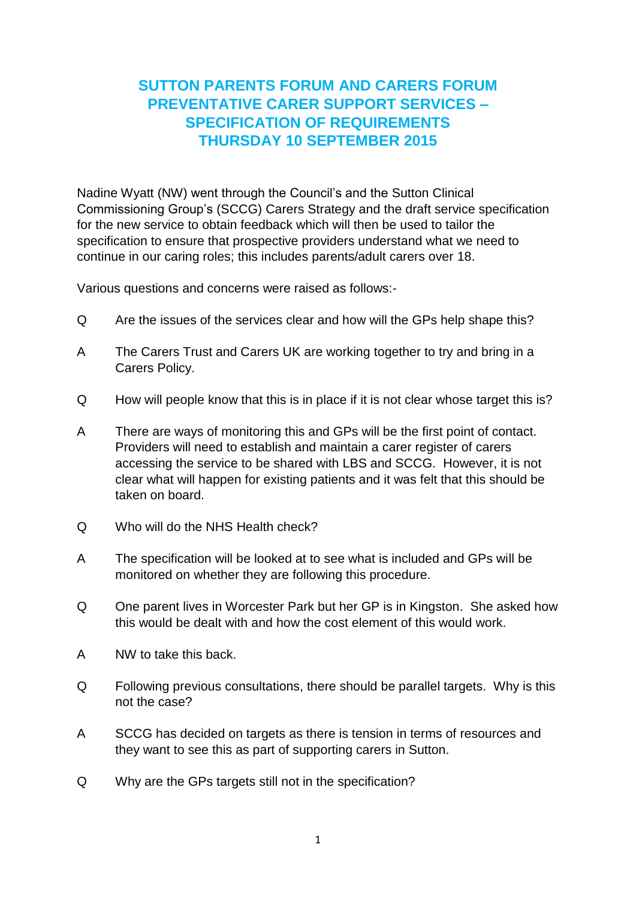## **SUTTON PARENTS FORUM AND CARERS FORUM PREVENTATIVE CARER SUPPORT SERVICES – SPECIFICATION OF REQUIREMENTS THURSDAY 10 SEPTEMBER 2015**

Nadine Wyatt (NW) went through the Council's and the Sutton Clinical Commissioning Group's (SCCG) Carers Strategy and the draft service specification for the new service to obtain feedback which will then be used to tailor the specification to ensure that prospective providers understand what we need to continue in our caring roles; this includes parents/adult carers over 18.

Various questions and concerns were raised as follows:-

- Q Are the issues of the services clear and how will the GPs help shape this?
- A The Carers Trust and Carers UK are working together to try and bring in a Carers Policy.
- Q How will people know that this is in place if it is not clear whose target this is?
- A There are ways of monitoring this and GPs will be the first point of contact. Providers will need to establish and maintain a carer register of carers accessing the service to be shared with LBS and SCCG. However, it is not clear what will happen for existing patients and it was felt that this should be taken on board.
- Q Who will do the NHS Health check?
- A The specification will be looked at to see what is included and GPs will be monitored on whether they are following this procedure.
- Q One parent lives in Worcester Park but her GP is in Kingston. She asked how this would be dealt with and how the cost element of this would work.
- A NW to take this back.
- Q Following previous consultations, there should be parallel targets. Why is this not the case?
- A SCCG has decided on targets as there is tension in terms of resources and they want to see this as part of supporting carers in Sutton.
- Q Why are the GPs targets still not in the specification?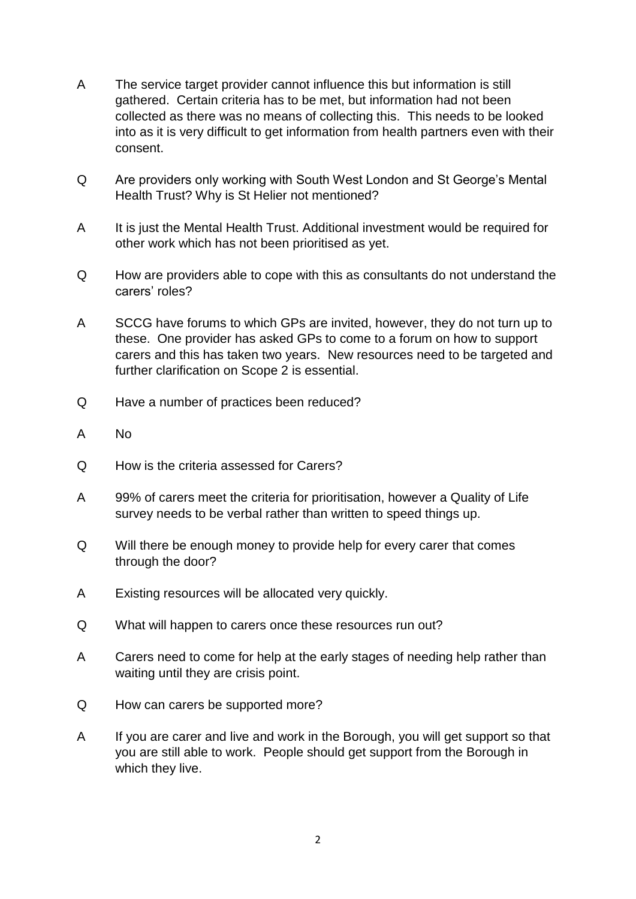- A The service target provider cannot influence this but information is still gathered. Certain criteria has to be met, but information had not been collected as there was no means of collecting this. This needs to be looked into as it is very difficult to get information from health partners even with their consent.
- Q Are providers only working with South West London and St George's Mental Health Trust? Why is St Helier not mentioned?
- A It is just the Mental Health Trust. Additional investment would be required for other work which has not been prioritised as yet.
- Q How are providers able to cope with this as consultants do not understand the carers' roles?
- A SCCG have forums to which GPs are invited, however, they do not turn up to these. One provider has asked GPs to come to a forum on how to support carers and this has taken two years. New resources need to be targeted and further clarification on Scope 2 is essential.
- Q Have a number of practices been reduced?
- A No
- Q How is the criteria assessed for Carers?
- A 99% of carers meet the criteria for prioritisation, however a Quality of Life survey needs to be verbal rather than written to speed things up.
- Q Will there be enough money to provide help for every carer that comes through the door?
- A Existing resources will be allocated very quickly.
- Q What will happen to carers once these resources run out?
- A Carers need to come for help at the early stages of needing help rather than waiting until they are crisis point.
- Q How can carers be supported more?
- A If you are carer and live and work in the Borough, you will get support so that you are still able to work. People should get support from the Borough in which they live.